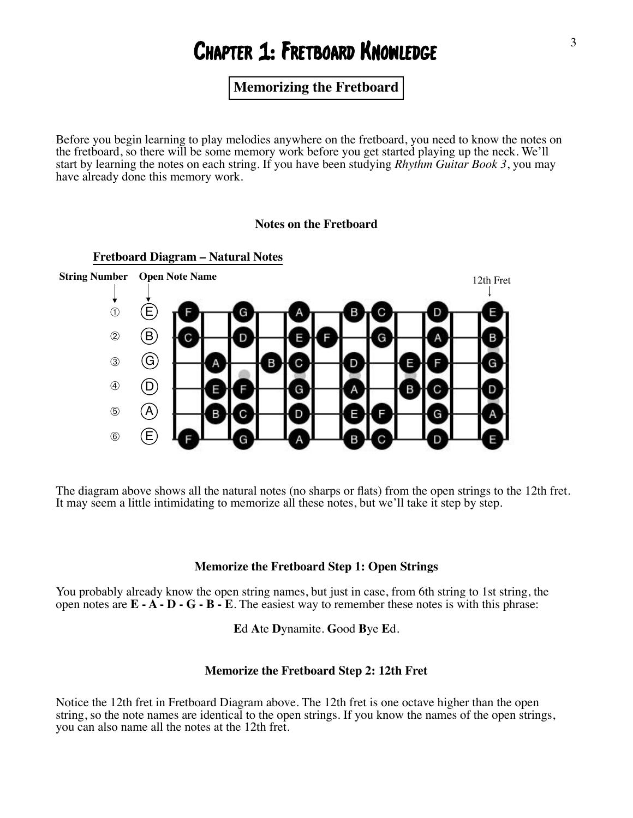# Chapter 1: Fretboard Knowledge

# **Memorizing the Fretboard**

Before you begin learning to play melodies anywhere on the fretboard, you need to know the notes on the fretboard, so there will be some memory work before you get started playing up the neck. We'll start by learning the notes on each string. If you have been studying *Rhythm Guitar Book 3*, you may have already done this memory work.

#### **Notes on the Fretboard**



The diagram above shows all the natural notes (no sharps or flats) from the open strings to the 12th fret. It may seem a little intimidating to memorize all these notes, but we'll take it step by step.

#### **Memorize the Fretboard Step 1: Open Strings**

You probably already know the open string names, but just in case, from 6th string to 1st string, the open notes are  $\mathbf{E} \cdot \mathbf{A} \cdot \mathbf{D} \cdot \mathbf{G} \cdot \mathbf{B} \cdot \mathbf{E}$ . The easiest way to remember these notes is with this phrase:

**E**d **A**te **D**ynamite. **G**ood **B**ye **E**d.

#### **Memorize the Fretboard Step 2: 12th Fret**

Notice the 12th fret in Fretboard Diagram above. The 12th fret is one octave higher than the open string, so the note names are identical to the open strings. If you know the names of the open strings, you can also name all the notes at the 12th fret.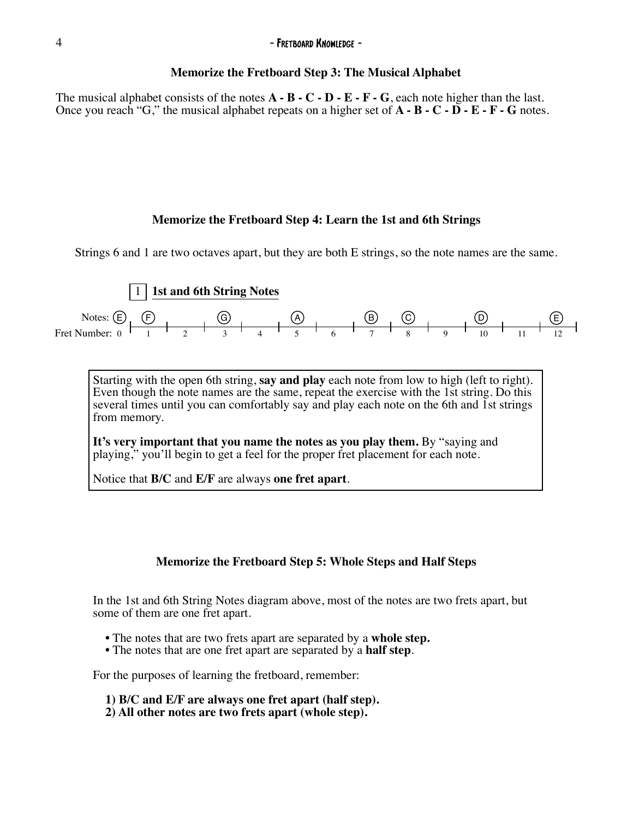#### 4 - Fretboard Knowledge - Fretboard Knowledge -

#### **Memorize the Fretboard Step 3: The Musical Alphabet**

The musical alphabet consists of the notes **A - B - C - D - E - F - G**, each note higher than the last. Once you reach "G," the musical alphabet repeats on a higher set of **A - B - C - D - E - F - G** notes.

#### **Memorize the Fretboard Step 4: Learn the 1st and 6th Strings**

Strings 6 and 1 are two octaves apart, but they are both E strings, so the note names are the same.



Starting with the open 6th string, **say and play** each note from low to high (left to right). Even though the note names are the same, repeat the exercise with the 1st string. Do this several times until you can comfortably say and play each note on the 6th and 1st strings from memory.

**It's very important that you name the notes as you play them.** By "saying and playing," you'll begin to get a feel for the proper fret placement for each note.

Notice that **B/C** and **E/F** are always **one fret apart**.

#### **Memorize the Fretboard Step 5: Whole Steps and Half Steps**

In the 1st and 6th String Notes diagram above, most of the notes are two frets apart, but some of them are one fret apart.

- The notes that are two frets apart are separated by a **whole step.** The notes that are one fret apart are separated by a **half step**.
- 

For the purposes of learning the fretboard, remember:

- **1) B/C and E/F are always one fret apart (half step). 2) All other notes are two frets apart (whole step).**
-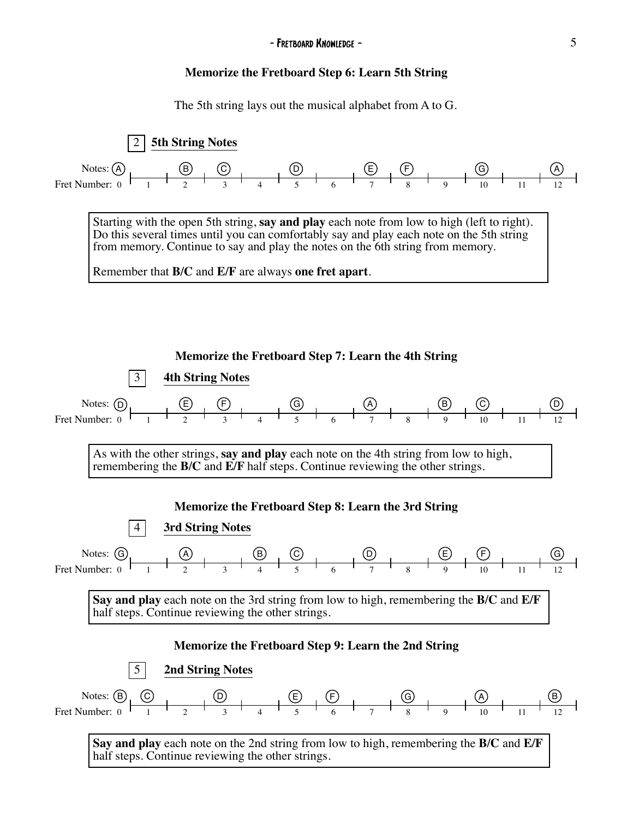# **Memorize the Fretboard Step 6: Learn 5th String**

The 5th string lays out the musical alphabet from A to G.

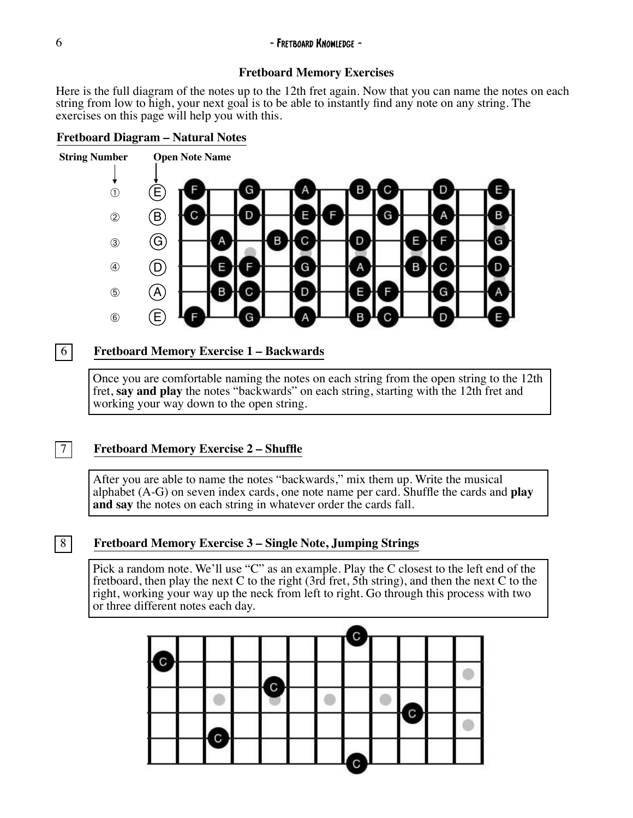#### 6 - Fretboard Knowledge -

### **Fretboard Memory Exercises**

Here is the full diagram of the notes up to the 12th fret again. Now that you can name the notes on each string from low to high, your next goal is to be able to instantly find any note on any string. The exercises on this page will help you with this.

### **Fretboard Diagram – Natural Notes**



# 6 **Fretboard Memory Exercise 1 – Backwards**

Once you are comfortable naming the notes on each string from the open string to the 12th fret, **say and play** the notes "backwards" on each string, starting with the 12th fret and working your way down to the open string.

## 7 **Fretboard Memory Exercise 2 – Shuffle**

After you are able to name the notes "backwards," mix them up. Write the musical alphabet (A-G) on seven index cards, one note name per card. Shuffle the cards and **play and say** the notes on each string in whatever order the cards fall.

# 8 **Fretboard Memory Exercise 3 – Single Note, Jumping Strings**

Pick a random note. We'll use "C" as an example. Play the C closest to the left end of the fretboard, then play the next C to the right (3rd fret, 5th string), and then the next C to the right, working your way up the neck from left to right. Go through this process with two or three different notes each day.

|             |   | C |              |     |  |
|-------------|---|---|--------------|-----|--|
|             |   |   |              |     |  |
|             |   |   |              |     |  |
|             |   |   |              |     |  |
|             |   |   |              |     |  |
| $\mathbf C$ | C |   | $\mathbf{C}$ | I C |  |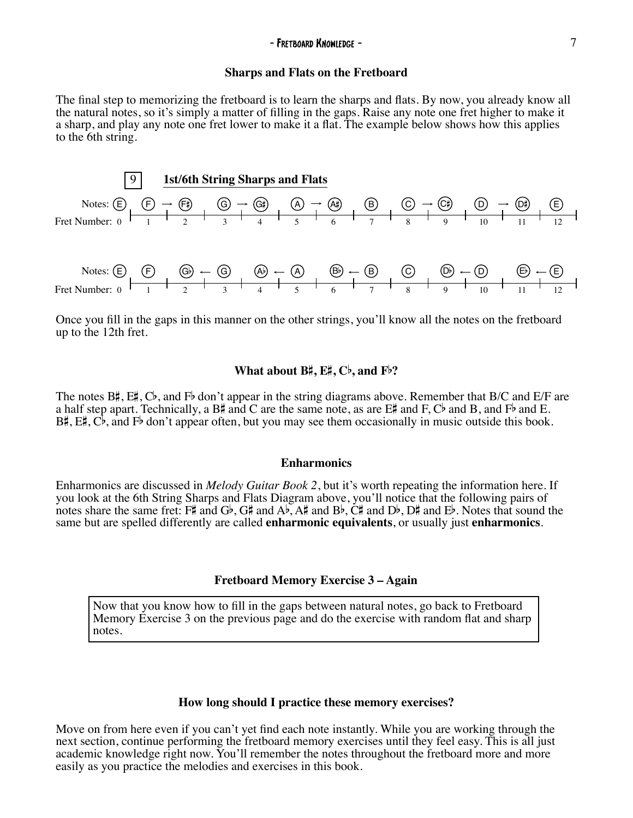#### **Sharps and Flats on the Fretboard**

The final step to memorizing the fretboard is to learn the sharps and flats. By now, you already know all the natural notes, so it's simply a matter of filling in the gaps. Raise any note one fret higher to make it a sharp, and play any note one fret lower to make it a flat. The example below shows how this applies to the 6th string.



Once you fill in the gaps in this manner on the other strings, you'll know all the notes on the fretboard up to the 12th fret.

#### **What about B**#**, E**#**, C**b**, and F**b**?**

The notes B#, E#, Cb, and Fb don't appear in the string diagrams above. Remember that B/C and E/F are a half step apart. Technically, a  $B\sharp$  and C are the same note, as are  $E\sharp$  and F, Cb and B, and Fb and E.  $B\sharp$ ,  $E\sharp$ ,  $C\flat$ , and  $F\flat$  don't appear often, but you may see them occasionally in music outside this book.

#### **Enharmonics**

Enharmonics are discussed in *Melody Guitar Book 2*, but it's worth repeating the information here. If you look at the 6th String Sharps and Flats Diagram above, you'll notice that the following pairs of notes share the same fret: F# and Gb, G# and Ab, A# and Bb, C# and Db, D# and Eb. Notes that sound the same but are spelled differently are called **enharmonic equivalents**, or usually just **enharmonics**.

#### **Fretboard Memory Exercise 3 – Again**

Now that you know how to fill in the gaps between natural notes, go back to Fretboard Memory Exercise 3 on the previous page and do the exercise with random flat and sharp notes.

#### **How long should I practice these memory exercises?**

Move on from here even if you can't yet find each note instantly. While you are working through the next section, continue performing the fretboard memory exercises until they feel easy. This is all just academic knowledge right now. You'll remember the notes throughout the fretboard more and more easily as you practice the melodies and exercises in this book.